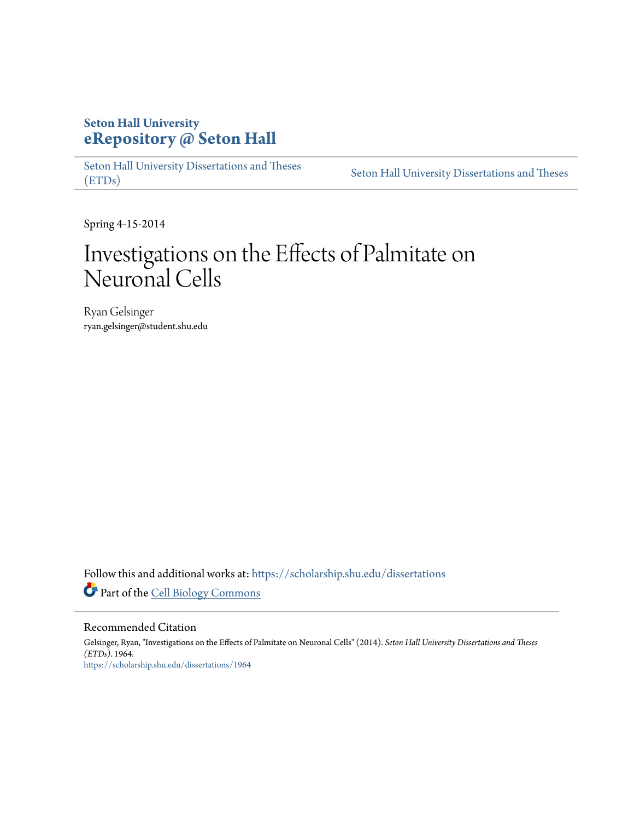## **Seton Hall University [eRepository @ Seton Hall](https://scholarship.shu.edu?utm_source=scholarship.shu.edu%2Fdissertations%2F1964&utm_medium=PDF&utm_campaign=PDFCoverPages)**

[Seton Hall University Dissertations and Theses](https://scholarship.shu.edu/dissertations?utm_source=scholarship.shu.edu%2Fdissertations%2F1964&utm_medium=PDF&utm_campaign=PDFCoverPages) [\(ETDs\)](https://scholarship.shu.edu/dissertations?utm_source=scholarship.shu.edu%2Fdissertations%2F1964&utm_medium=PDF&utm_campaign=PDFCoverPages)

[Seton Hall University Dissertations and Theses](https://scholarship.shu.edu/etds?utm_source=scholarship.shu.edu%2Fdissertations%2F1964&utm_medium=PDF&utm_campaign=PDFCoverPages)

Spring 4-15-2014

# Investigations on the Effects of Palmitate on Neuronal Cells

Ryan Gelsinger ryan.gelsinger@student.shu.edu

Follow this and additional works at: [https://scholarship.shu.edu/dissertations](https://scholarship.shu.edu/dissertations?utm_source=scholarship.shu.edu%2Fdissertations%2F1964&utm_medium=PDF&utm_campaign=PDFCoverPages) Part of the [Cell Biology Commons](http://network.bepress.com/hgg/discipline/10?utm_source=scholarship.shu.edu%2Fdissertations%2F1964&utm_medium=PDF&utm_campaign=PDFCoverPages)

#### Recommended Citation

Gelsinger, Ryan, "Investigations on the Effects of Palmitate on Neuronal Cells" (2014). *Seton Hall University Dissertations and Theses (ETDs)*. 1964. [https://scholarship.shu.edu/dissertations/1964](https://scholarship.shu.edu/dissertations/1964?utm_source=scholarship.shu.edu%2Fdissertations%2F1964&utm_medium=PDF&utm_campaign=PDFCoverPages)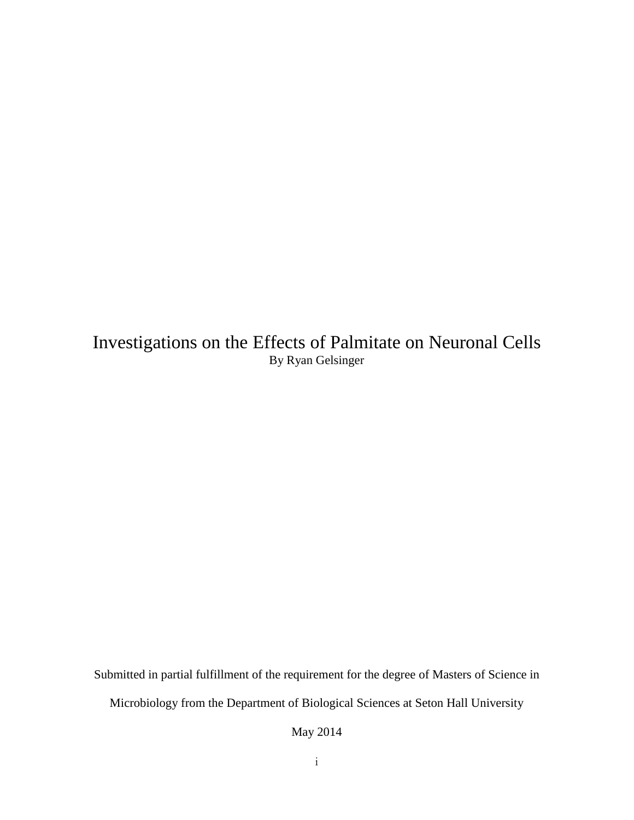Investigations on the Effects of Palmitate on Neuronal Cells By Ryan Gelsinger

Submitted in partial fulfillment of the requirement for the degree of Masters of Science in

Microbiology from the Department of Biological Sciences at Seton Hall University

May 2014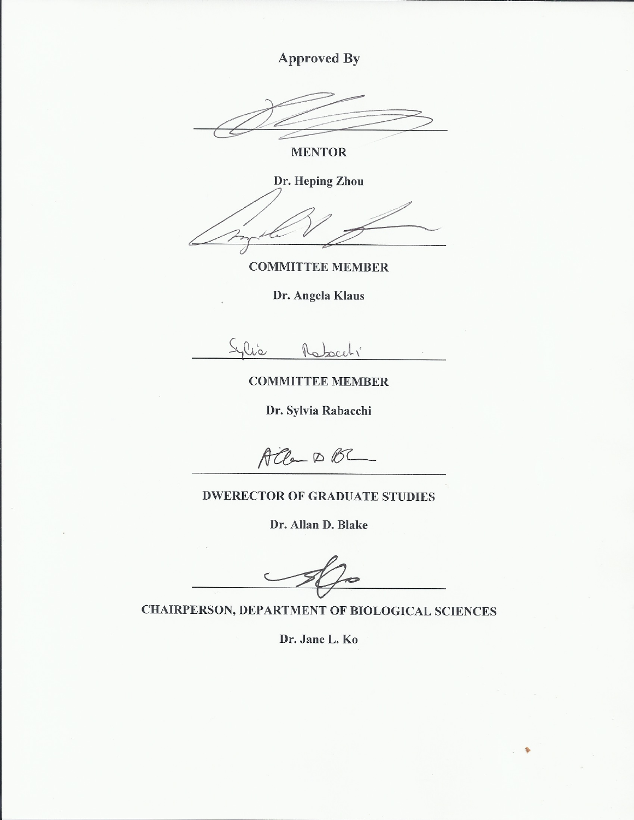**Approved By** 

**MENTOR** 

Dr. Heping Zhou

**COMMITTEE MEMBER** 

Dr. Angela Klaus

lis

**COMMITTEE MEMBER** 

Dr. Sylvia Rabacchi

 $\text{ACC}$   $\circ$   $\text{B}$ 

### **DWERECTOR OF GRADUATE STUDIES**

Dr. Allan D. Blake

**CHAIRPERSON, DEPARTMENT OF BIOLOGICAL SCIENCES** 

Dr. Jane L. Ko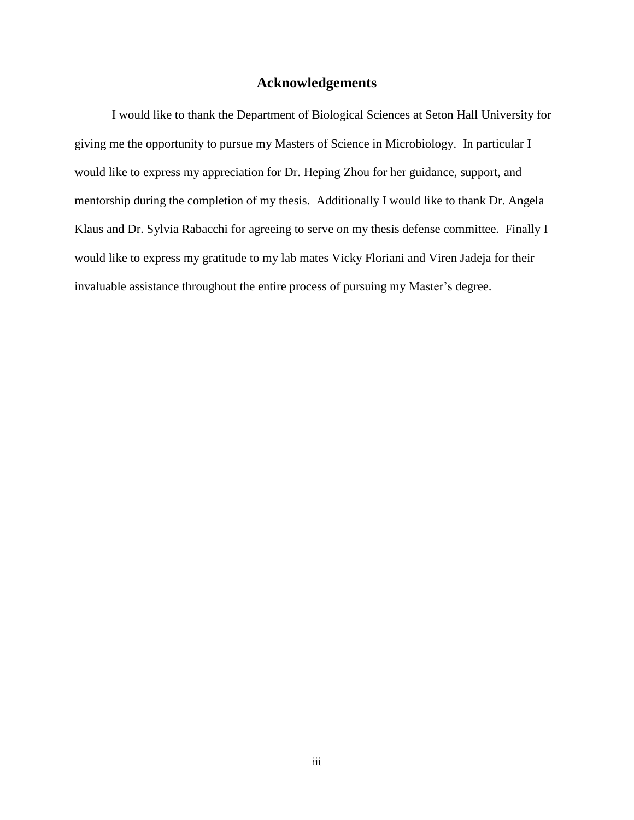#### **Acknowledgements**

I would like to thank the Department of Biological Sciences at Seton Hall University for giving me the opportunity to pursue my Masters of Science in Microbiology. In particular I would like to express my appreciation for Dr. Heping Zhou for her guidance, support, and mentorship during the completion of my thesis. Additionally I would like to thank Dr. Angela Klaus and Dr. Sylvia Rabacchi for agreeing to serve on my thesis defense committee. Finally I would like to express my gratitude to my lab mates Vicky Floriani and Viren Jadeja for their invaluable assistance throughout the entire process of pursuing my Master's degree.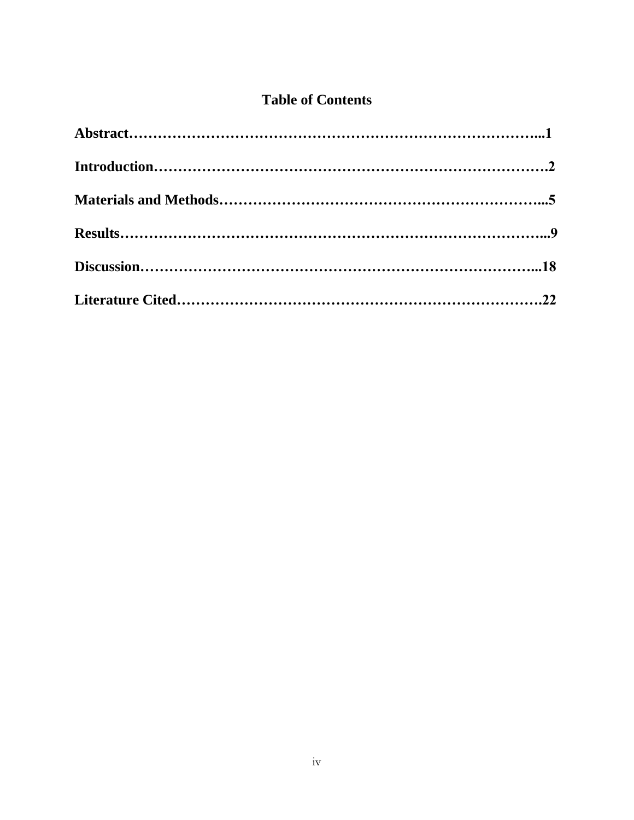## **Table of Contents**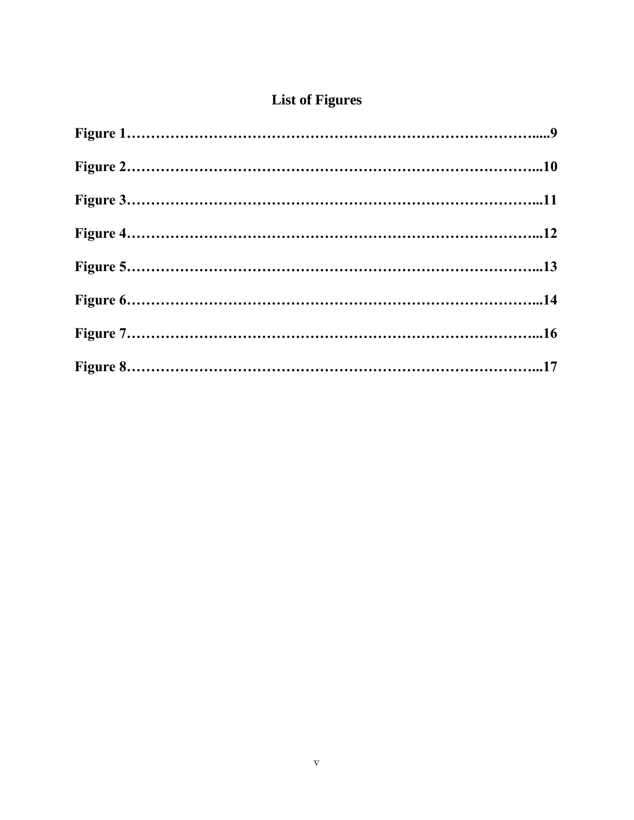## **List of Figures**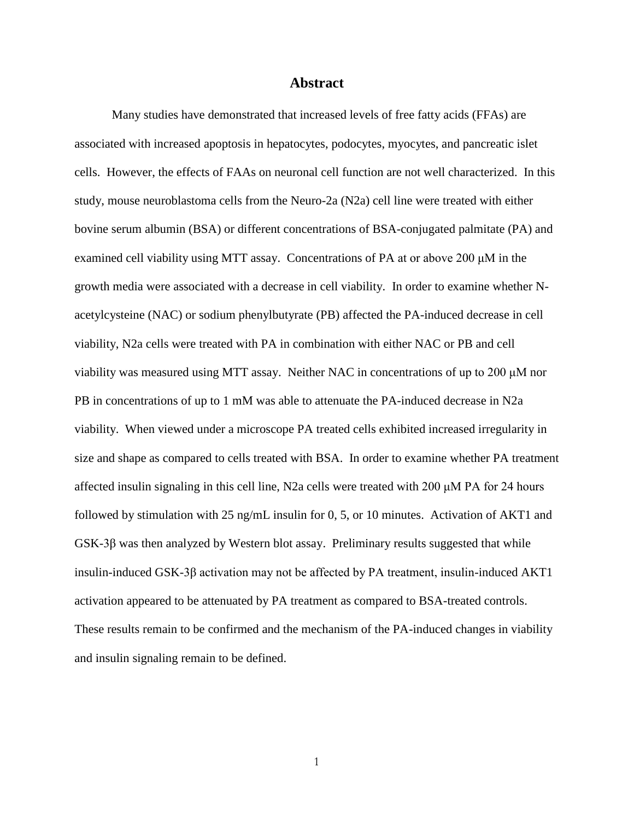#### **Abstract**

Many studies have demonstrated that increased levels of free fatty acids (FFAs) are associated with increased apoptosis in hepatocytes, podocytes, myocytes, and pancreatic islet cells. However, the effects of FAAs on neuronal cell function are not well characterized. In this study, mouse neuroblastoma cells from the Neuro-2a (N2a) cell line were treated with either bovine serum albumin (BSA) or different concentrations of BSA-conjugated palmitate (PA) and examined cell viability using MTT assay. Concentrations of PA at or above 200 μM in the growth media were associated with a decrease in cell viability. In order to examine whether Nacetylcysteine (NAC) or sodium phenylbutyrate (PB) affected the PA-induced decrease in cell viability, N2a cells were treated with PA in combination with either NAC or PB and cell viability was measured using MTT assay. Neither NAC in concentrations of up to 200 μM nor PB in concentrations of up to 1 mM was able to attenuate the PA-induced decrease in N2a viability. When viewed under a microscope PA treated cells exhibited increased irregularity in size and shape as compared to cells treated with BSA. In order to examine whether PA treatment affected insulin signaling in this cell line, N2a cells were treated with 200 μM PA for 24 hours followed by stimulation with 25 ng/mL insulin for 0, 5, or 10 minutes. Activation of AKT1 and GSK-3β was then analyzed by Western blot assay. Preliminary results suggested that while insulin-induced GSK-3β activation may not be affected by PA treatment, insulin-induced AKT1 activation appeared to be attenuated by PA treatment as compared to BSA-treated controls. These results remain to be confirmed and the mechanism of the PA-induced changes in viability and insulin signaling remain to be defined.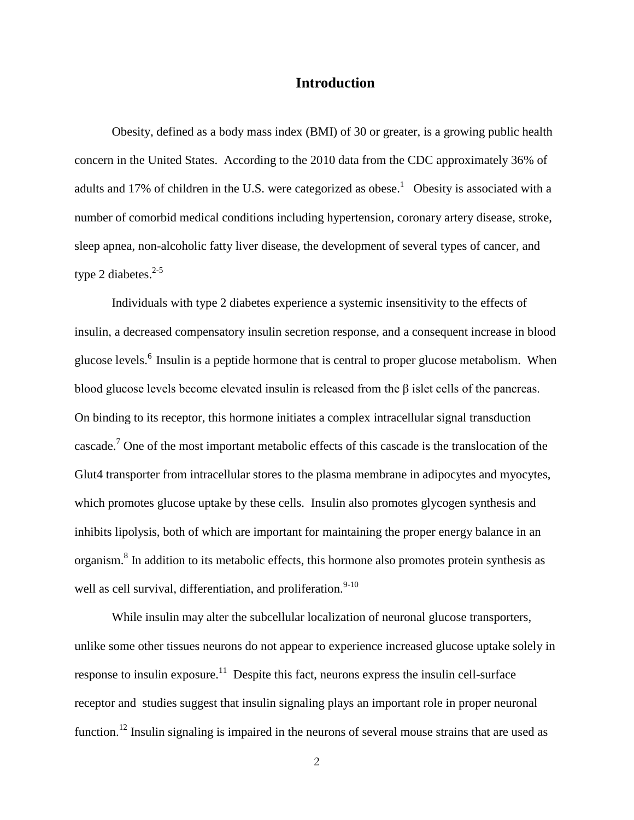#### **Introduction**

Obesity, defined as a body mass index (BMI) of 30 or greater, is a growing public health concern in the United States. According to the 2010 data from the CDC approximately 36% of adults and 17% of children in the U.S. were categorized as obese.<sup>1</sup> Obesity is associated with a number of comorbid medical conditions including hypertension, coronary artery disease, stroke, sleep apnea, non-alcoholic fatty liver disease, the development of several types of cancer, and type 2 diabetes. $2-5$ 

Individuals with type 2 diabetes experience a systemic insensitivity to the effects of insulin, a decreased compensatory insulin secretion response, and a consequent increase in blood glucose levels.<sup>6</sup> Insulin is a peptide hormone that is central to proper glucose metabolism. When blood glucose levels become elevated insulin is released from the β islet cells of the pancreas. On binding to its receptor, this hormone initiates a complex intracellular signal transduction cascade.<sup>7</sup> One of the most important metabolic effects of this cascade is the translocation of the Glut4 transporter from intracellular stores to the plasma membrane in adipocytes and myocytes, which promotes glucose uptake by these cells. Insulin also promotes glycogen synthesis and inhibits lipolysis, both of which are important for maintaining the proper energy balance in an organism.<sup>8</sup> In addition to its metabolic effects, this hormone also promotes protein synthesis as well as cell survival, differentiation, and proliferation.<sup>9-10</sup>

While insulin may alter the subcellular localization of neuronal glucose transporters, unlike some other tissues neurons do not appear to experience increased glucose uptake solely in response to insulin exposure.<sup>11</sup> Despite this fact, neurons express the insulin cell-surface receptor and studies suggest that insulin signaling plays an important role in proper neuronal function.<sup>12</sup> Insulin signaling is impaired in the neurons of several mouse strains that are used as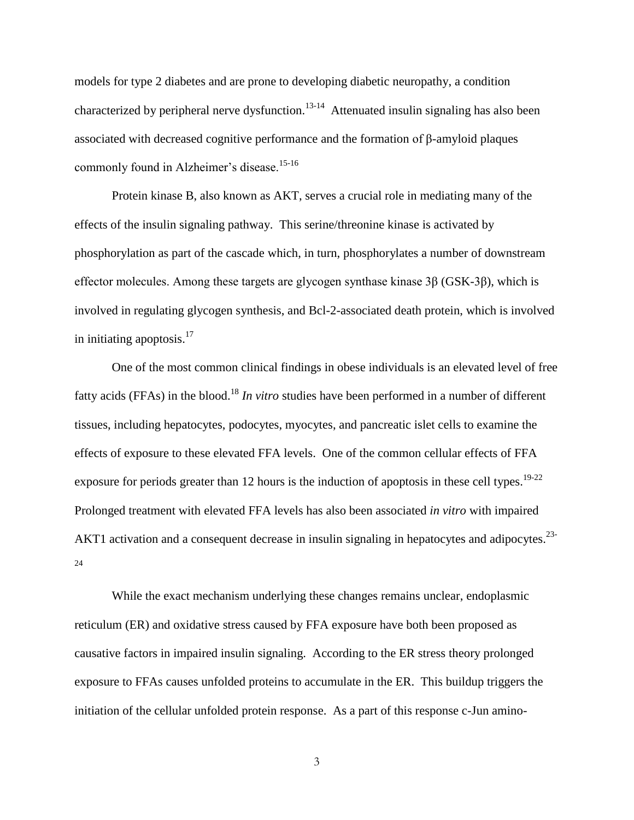models for type 2 diabetes and are prone to developing diabetic neuropathy, a condition characterized by peripheral nerve dysfunction.<sup>13-14</sup> Attenuated insulin signaling has also been associated with decreased cognitive performance and the formation of β-amyloid plaques commonly found in Alzheimer's disease.<sup>15-16</sup>

Protein kinase B, also known as AKT, serves a crucial role in mediating many of the effects of the insulin signaling pathway. This serine/threonine kinase is activated by phosphorylation as part of the cascade which, in turn, phosphorylates a number of downstream effector molecules. Among these targets are glycogen synthase kinase 3β (GSK-3β), which is involved in regulating glycogen synthesis, and Bcl-2-associated death protein, which is involved in initiating apoptosis.<sup>17</sup>

One of the most common clinical findings in obese individuals is an elevated level of free fatty acids (FFAs) in the blood.<sup>18</sup> In vitro studies have been performed in a number of different tissues, including hepatocytes, podocytes, myocytes, and pancreatic islet cells to examine the effects of exposure to these elevated FFA levels. One of the common cellular effects of FFA exposure for periods greater than 12 hours is the induction of apoptosis in these cell types.<sup>19-22</sup> Prolonged treatment with elevated FFA levels has also been associated *in vitro* with impaired AKT1 activation and a consequent decrease in insulin signaling in hepatocytes and adipocytes.<sup>23-</sup> 24

While the exact mechanism underlying these changes remains unclear, endoplasmic reticulum (ER) and oxidative stress caused by FFA exposure have both been proposed as causative factors in impaired insulin signaling. According to the ER stress theory prolonged exposure to FFAs causes unfolded proteins to accumulate in the ER. This buildup triggers the initiation of the cellular unfolded protein response. As a part of this response c-Jun amino-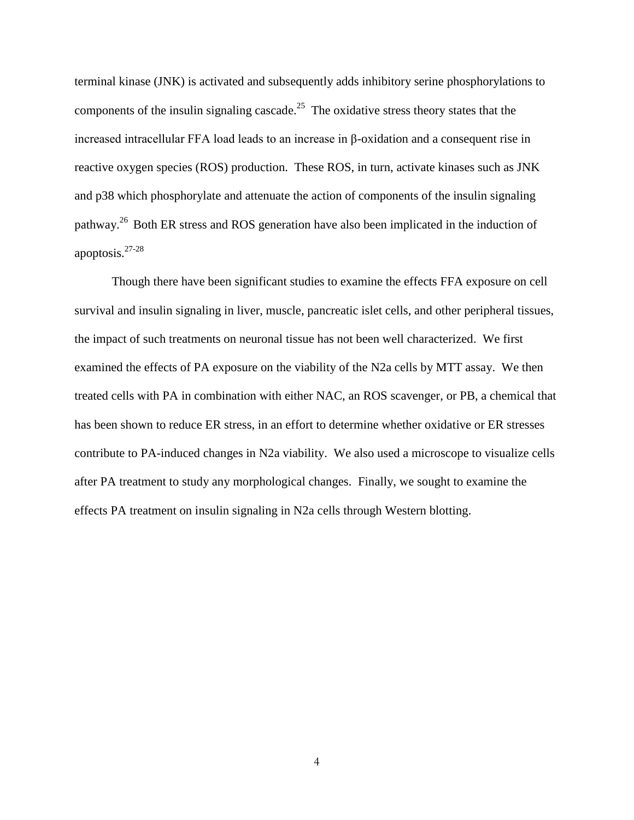terminal kinase (JNK) is activated and subsequently adds inhibitory serine phosphorylations to components of the insulin signaling cascade.<sup>25</sup> The oxidative stress theory states that the increased intracellular FFA load leads to an increase in β-oxidation and a consequent rise in reactive oxygen species (ROS) production. These ROS, in turn, activate kinases such as JNK and p38 which phosphorylate and attenuate the action of components of the insulin signaling pathway.<sup>26</sup> Both ER stress and ROS generation have also been implicated in the induction of apoptosis.27-28

Though there have been significant studies to examine the effects FFA exposure on cell survival and insulin signaling in liver, muscle, pancreatic islet cells, and other peripheral tissues, the impact of such treatments on neuronal tissue has not been well characterized. We first examined the effects of PA exposure on the viability of the N2a cells by MTT assay. We then treated cells with PA in combination with either NAC, an ROS scavenger, or PB, a chemical that has been shown to reduce ER stress, in an effort to determine whether oxidative or ER stresses contribute to PA-induced changes in N2a viability. We also used a microscope to visualize cells after PA treatment to study any morphological changes. Finally, we sought to examine the effects PA treatment on insulin signaling in N2a cells through Western blotting.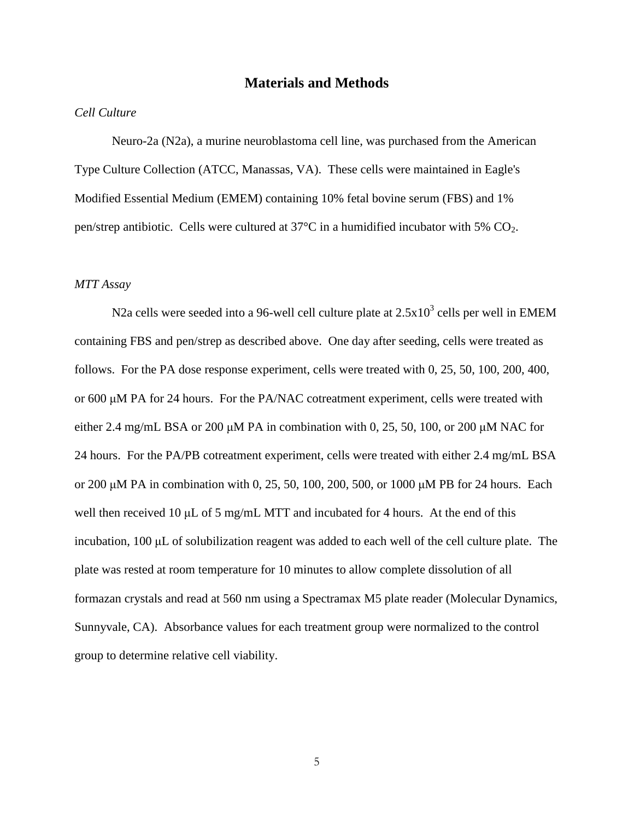#### **Materials and Methods**

#### *Cell Culture*

Neuro-2a (N2a), a murine neuroblastoma cell line, was purchased from the American Type Culture Collection (ATCC, Manassas, VA). These cells were maintained in Eagle's Modified Essential Medium (EMEM) containing 10% fetal bovine serum (FBS) and 1% pen/strep antibiotic. Cells were cultured at  $37^{\circ}$ C in a humidified incubator with 5% CO<sub>2</sub>.

#### *MTT Assay*

N2a cells were seeded into a 96-well cell culture plate at  $2.5x10^3$  cells per well in EMEM containing FBS and pen/strep as described above. One day after seeding, cells were treated as follows. For the PA dose response experiment, cells were treated with 0, 25, 50, 100, 200, 400, or 600 μM PA for 24 hours. For the PA/NAC cotreatment experiment, cells were treated with either 2.4 mg/mL BSA or 200  $\mu$ M PA in combination with 0, 25, 50, 100, or 200  $\mu$ M NAC for 24 hours. For the PA/PB cotreatment experiment, cells were treated with either 2.4 mg/mL BSA or 200 μM PA in combination with 0, 25, 50, 100, 200, 500, or 1000 μM PB for 24 hours. Each well then received 10 μL of 5 mg/mL MTT and incubated for 4 hours. At the end of this incubation, 100 μL of solubilization reagent was added to each well of the cell culture plate. The plate was rested at room temperature for 10 minutes to allow complete dissolution of all formazan crystals and read at 560 nm using a Spectramax M5 plate reader (Molecular Dynamics, Sunnyvale, CA). Absorbance values for each treatment group were normalized to the control group to determine relative cell viability.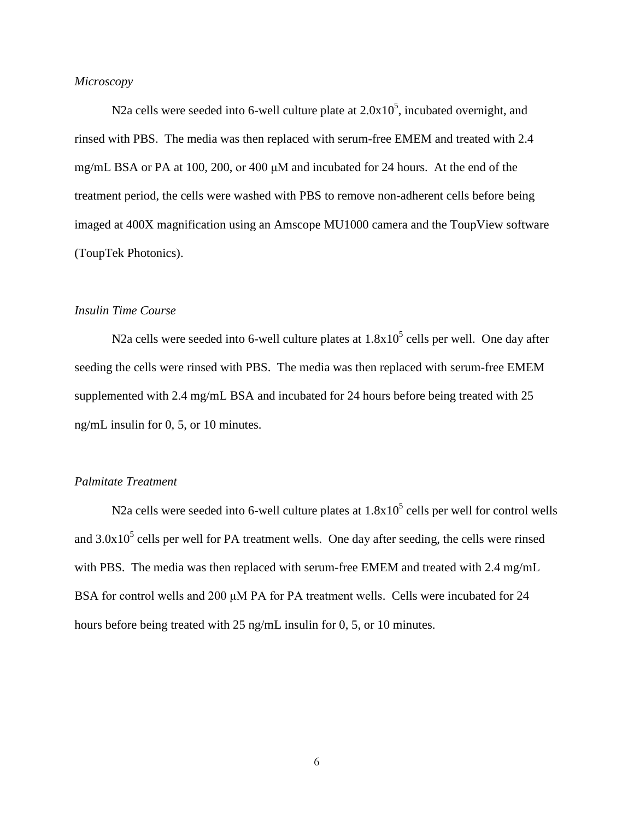#### *Microscopy*

N2a cells were seeded into 6-well culture plate at  $2.0x10<sup>5</sup>$ , incubated overnight, and rinsed with PBS. The media was then replaced with serum-free EMEM and treated with 2.4 mg/mL BSA or PA at 100, 200, or 400 μM and incubated for 24 hours. At the end of the treatment period, the cells were washed with PBS to remove non-adherent cells before being imaged at 400X magnification using an Amscope MU1000 camera and the ToupView software (ToupTek Photonics).

#### *Insulin Time Course*

N2a cells were seeded into 6-well culture plates at  $1.8x10^5$  cells per well. One day after seeding the cells were rinsed with PBS. The media was then replaced with serum-free EMEM supplemented with 2.4 mg/mL BSA and incubated for 24 hours before being treated with 25 ng/mL insulin for 0, 5, or 10 minutes.

#### *Palmitate Treatment*

N2a cells were seeded into 6-well culture plates at  $1.8x10^5$  cells per well for control wells and  $3.0x10<sup>5</sup>$  cells per well for PA treatment wells. One day after seeding, the cells were rinsed with PBS. The media was then replaced with serum-free EMEM and treated with 2.4 mg/mL BSA for control wells and 200 μM PA for PA treatment wells. Cells were incubated for 24 hours before being treated with 25 ng/mL insulin for 0, 5, or 10 minutes.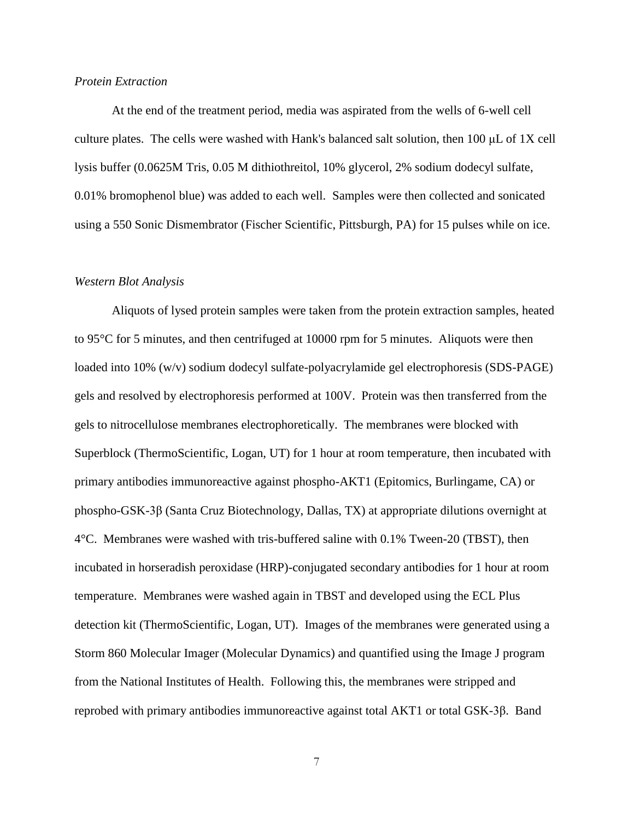#### *Protein Extraction*

At the end of the treatment period, media was aspirated from the wells of 6-well cell culture plates. The cells were washed with Hank's balanced salt solution, then 100 μL of 1X cell lysis buffer (0.0625M Tris, 0.05 M dithiothreitol, 10% glycerol, 2% sodium dodecyl sulfate, 0.01% bromophenol blue) was added to each well. Samples were then collected and sonicated using a 550 Sonic Dismembrator (Fischer Scientific, Pittsburgh, PA) for 15 pulses while on ice.

#### *Western Blot Analysis*

Aliquots of lysed protein samples were taken from the protein extraction samples, heated to 95°C for 5 minutes, and then centrifuged at 10000 rpm for 5 minutes. Aliquots were then loaded into 10% (w/v) sodium dodecyl sulfate-polyacrylamide gel electrophoresis (SDS-PAGE) gels and resolved by electrophoresis performed at 100V. Protein was then transferred from the gels to nitrocellulose membranes electrophoretically. The membranes were blocked with Superblock (ThermoScientific, Logan, UT) for 1 hour at room temperature, then incubated with primary antibodies immunoreactive against phospho-AKT1 (Epitomics, Burlingame, CA) or phospho-GSK-3β (Santa Cruz Biotechnology, Dallas, TX) at appropriate dilutions overnight at 4°C. Membranes were washed with tris-buffered saline with 0.1% Tween-20 (TBST), then incubated in horseradish peroxidase (HRP)-conjugated secondary antibodies for 1 hour at room temperature. Membranes were washed again in TBST and developed using the ECL Plus detection kit (ThermoScientific, Logan, UT). Images of the membranes were generated using a Storm 860 Molecular Imager (Molecular Dynamics) and quantified using the Image J program from the National Institutes of Health. Following this, the membranes were stripped and reprobed with primary antibodies immunoreactive against total AKT1 or total GSK-3β. Band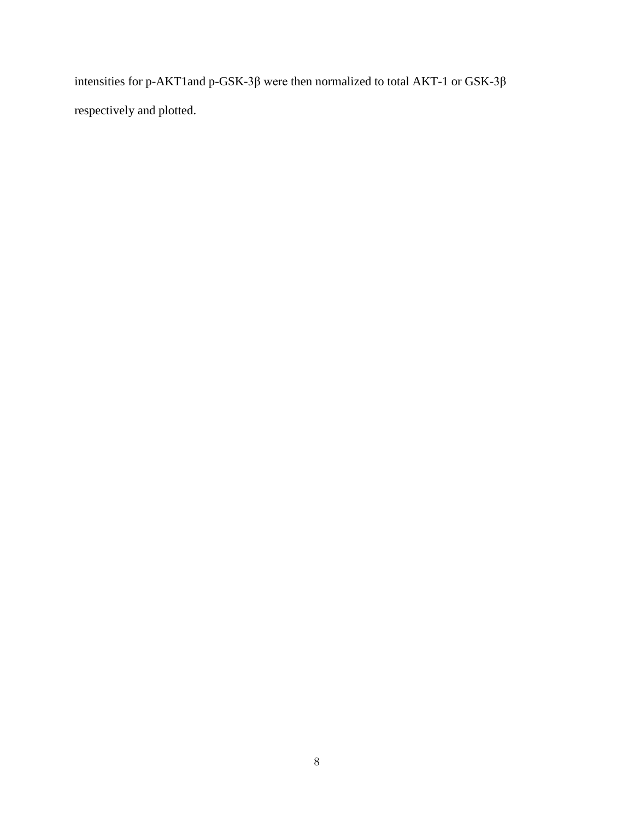intensities for p-AKT1and p-GSK-3β were then normalized to total AKT-1 or GSK-3β respectively and plotted.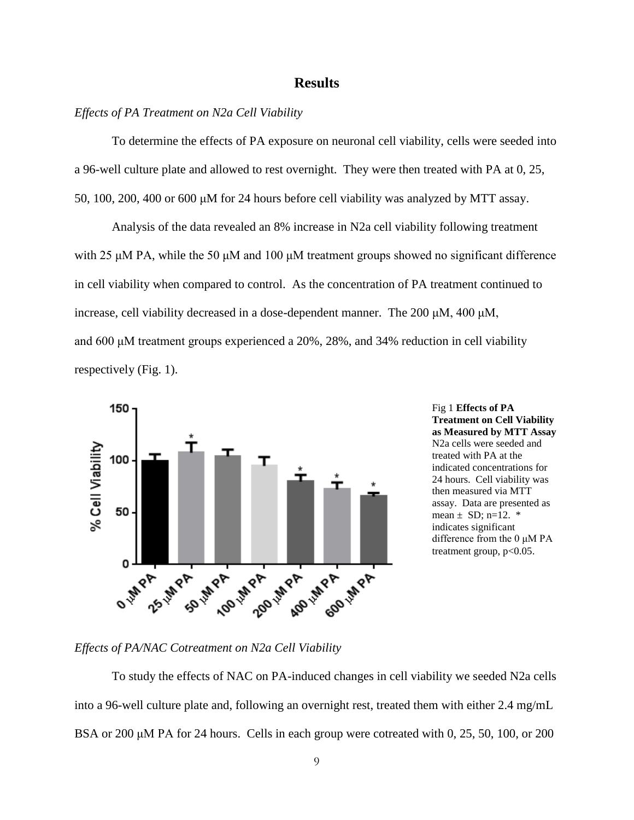#### **Results**

#### *Effects of PA Treatment on N2a Cell Viability*

To determine the effects of PA exposure on neuronal cell viability, cells were seeded into a 96-well culture plate and allowed to rest overnight. They were then treated with PA at 0, 25, 50, 100, 200, 400 or 600 μM for 24 hours before cell viability was analyzed by MTT assay.

Analysis of the data revealed an 8% increase in N2a cell viability following treatment with 25 μM PA, while the 50 μM and 100 μM treatment groups showed no significant difference in cell viability when compared to control. As the concentration of PA treatment continued to increase, cell viability decreased in a dose-dependent manner. The 200 μM, 400 μM, and 600 μM treatment groups experienced a 20%, 28%, and 34% reduction in cell viability respectively (Fig. 1).



Fig 1 **Effects of PA Treatment on Cell Viability as Measured by MTT Assay**  N2a cells were seeded and treated with PA at the indicated concentrations for 24 hours. Cell viability was then measured via MTT assay. Data are presented as mean  $\pm$  SD; n=12.  $*$ indicates significant difference from the 0 μM PA treatment group,  $p<0.05$ .

*Effects of PA/NAC Cotreatment on N2a Cell Viability*

To study the effects of NAC on PA-induced changes in cell viability we seeded N2a cells into a 96-well culture plate and, following an overnight rest, treated them with either 2.4 mg/mL BSA or 200 μM PA for 24 hours. Cells in each group were cotreated with 0, 25, 50, 100, or 200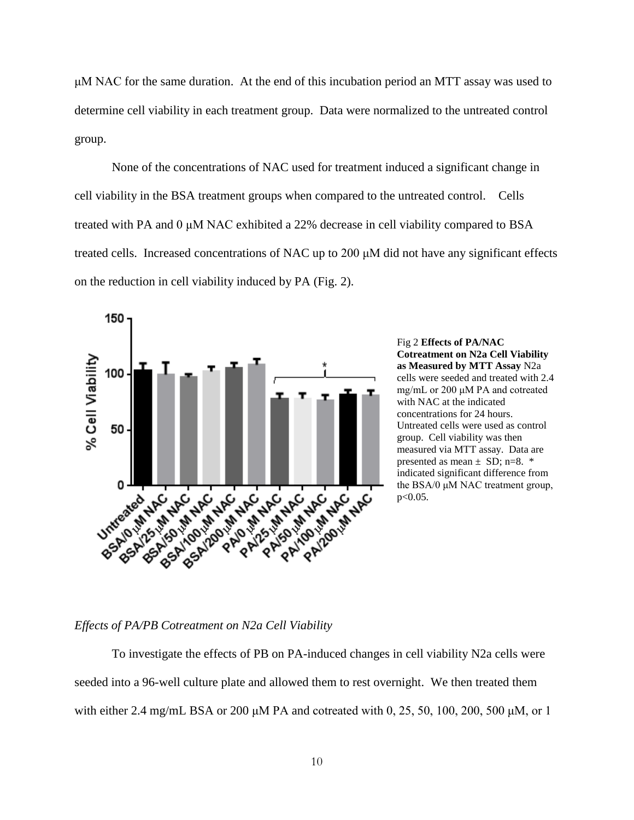μM NAC for the same duration. At the end of this incubation period an MTT assay was used to determine cell viability in each treatment group. Data were normalized to the untreated control group.

None of the concentrations of NAC used for treatment induced a significant change in cell viability in the BSA treatment groups when compared to the untreated control. Cells treated with PA and 0 μM NAC exhibited a 22% decrease in cell viability compared to BSA treated cells. Increased concentrations of NAC up to 200 μM did not have any significant effects on the reduction in cell viability induced by PA (Fig. 2).



Fig 2 **Effects of PA/NAC Cotreatment on N2a Cell Viability as Measured by MTT Assay** N2a cells were seeded and treated with 2.4 mg/mL or 200 μM PA and cotreated with NAC at the indicated concentrations for 24 hours. Untreated cells were used as control group. Cell viability was then measured via MTT assay. Data are presented as mean  $\pm$  SD; n=8.  $*$ indicated significant difference from the BSA/0 μM NAC treatment group, p<0.05.

#### *Effects of PA/PB Cotreatment on N2a Cell Viability*

To investigate the effects of PB on PA-induced changes in cell viability N2a cells were seeded into a 96-well culture plate and allowed them to rest overnight. We then treated them with either 2.4 mg/mL BSA or 200 μM PA and cotreated with 0, 25, 50, 100, 200, 500 μM, or 1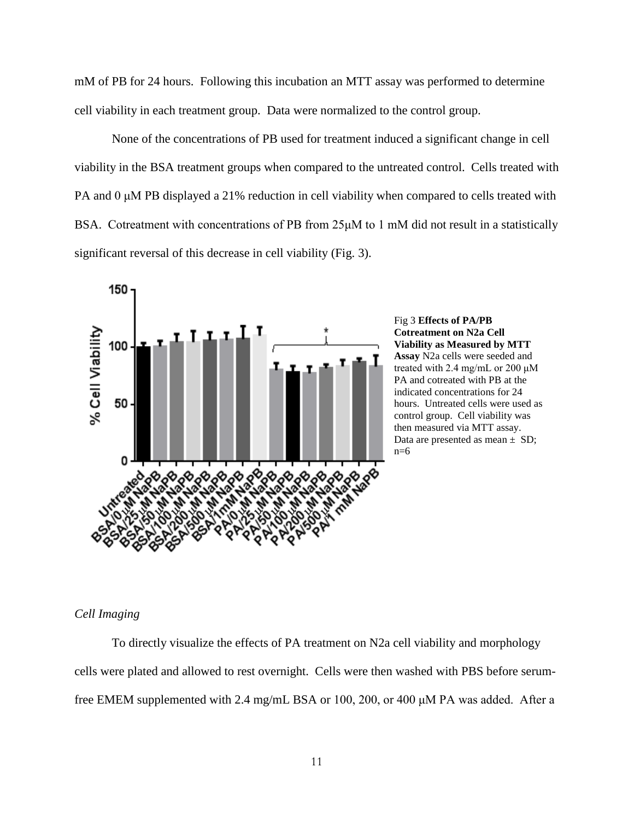mM of PB for 24 hours. Following this incubation an MTT assay was performed to determine cell viability in each treatment group. Data were normalized to the control group.

None of the concentrations of PB used for treatment induced a significant change in cell viability in the BSA treatment groups when compared to the untreated control. Cells treated with PA and 0 μM PB displayed a 21% reduction in cell viability when compared to cells treated with BSA. Cotreatment with concentrations of PB from 25μM to 1 mM did not result in a statistically significant reversal of this decrease in cell viability (Fig. 3).





#### *Cell Imaging*

To directly visualize the effects of PA treatment on N2a cell viability and morphology cells were plated and allowed to rest overnight. Cells were then washed with PBS before serumfree EMEM supplemented with 2.4 mg/mL BSA or 100, 200, or 400 μM PA was added. After a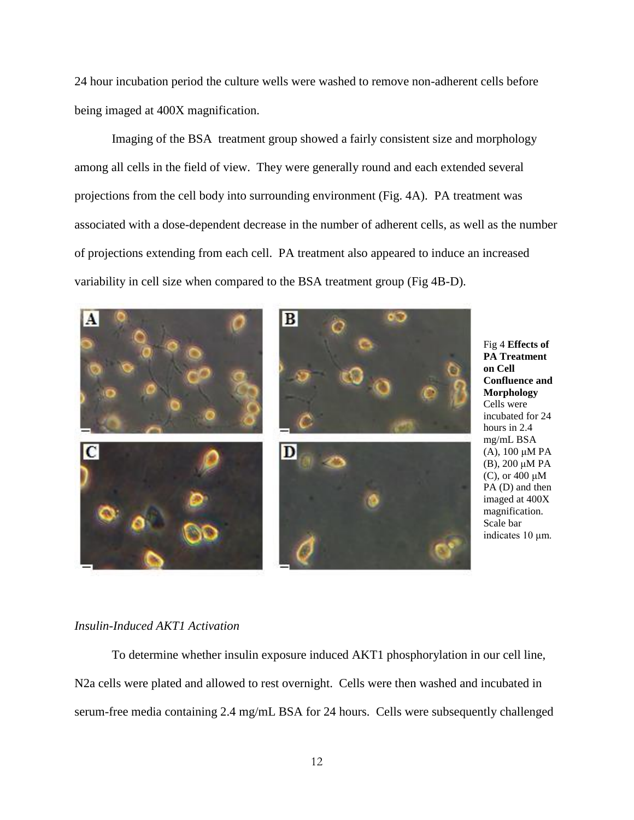24 hour incubation period the culture wells were washed to remove non-adherent cells before being imaged at 400X magnification.

Imaging of the BSA treatment group showed a fairly consistent size and morphology among all cells in the field of view. They were generally round and each extended several projections from the cell body into surrounding environment (Fig. 4A). PA treatment was associated with a dose-dependent decrease in the number of adherent cells, as well as the number of projections extending from each cell. PA treatment also appeared to induce an increased variability in cell size when compared to the BSA treatment group (Fig 4B-D).



Fig 4 **Effects of PA Treatment on Cell Confluence and Morphology**  Cells were incubated for 24 hours in 2.4 mg/mL BSA (A), 100 μM PA (B), 200 μM PA  $(C)$ , or 400  $\mu$ M PA (D) and then imaged at 400X magnification. Scale bar indicates 10 μm.

#### *Insulin-Induced AKT1 Activation*

To determine whether insulin exposure induced AKT1 phosphorylation in our cell line, N2a cells were plated and allowed to rest overnight. Cells were then washed and incubated in serum-free media containing 2.4 mg/mL BSA for 24 hours. Cells were subsequently challenged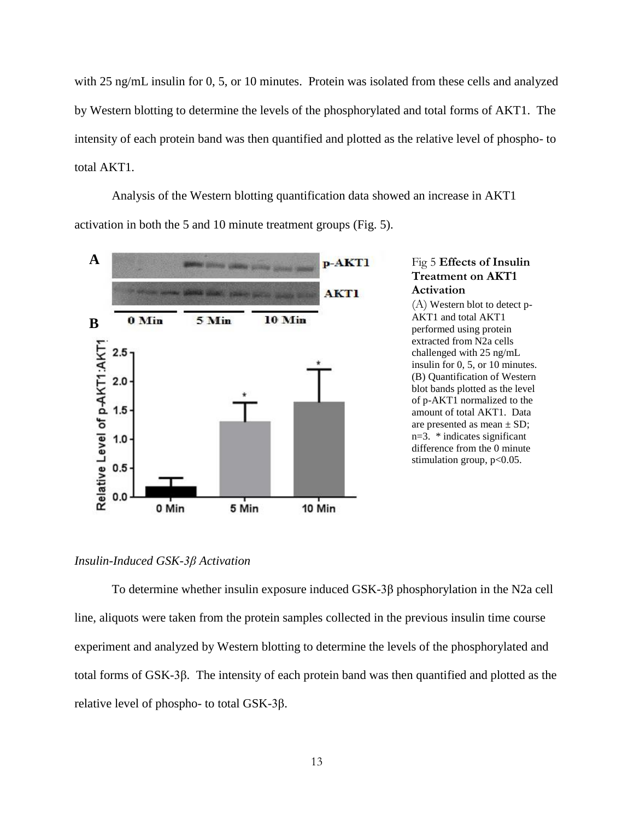with 25 ng/mL insulin for 0, 5, or 10 minutes. Protein was isolated from these cells and analyzed by Western blotting to determine the levels of the phosphorylated and total forms of AKT1. The intensity of each protein band was then quantified and plotted as the relative level of phospho- to total AKT1.

Analysis of the Western blotting quantification data showed an increase in AKT1 activation in both the 5 and 10 minute treatment groups (Fig. 5).



#### *Insulin-Induced GSK-3β Activation*

To determine whether insulin exposure induced GSK-3β phosphorylation in the N2a cell line, aliquots were taken from the protein samples collected in the previous insulin time course experiment and analyzed by Western blotting to determine the levels of the phosphorylated and total forms of GSK-3β. The intensity of each protein band was then quantified and plotted as the relative level of phospho- to total GSK-3β.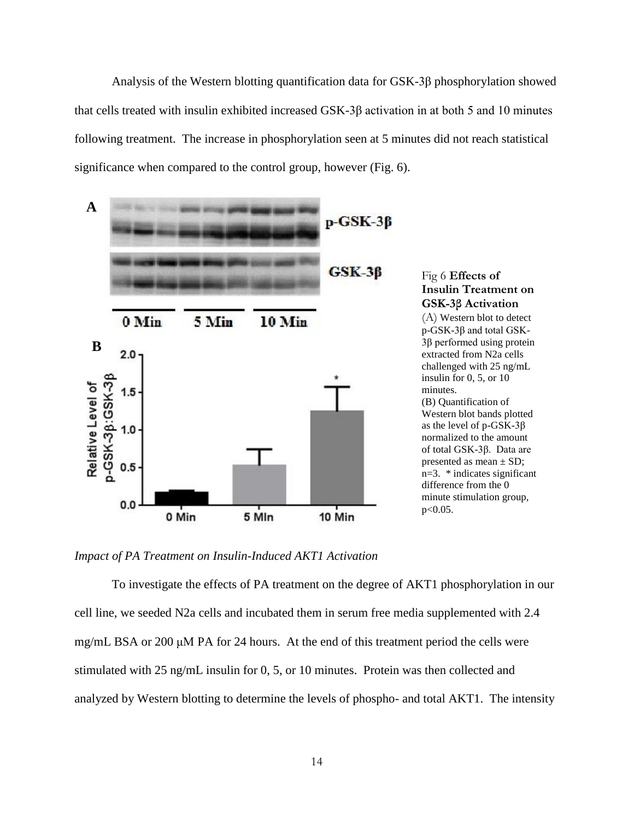Analysis of the Western blotting quantification data for GSK-3β phosphorylation showed that cells treated with insulin exhibited increased GSK-3β activation in at both 5 and 10 minutes following treatment. The increase in phosphorylation seen at 5 minutes did not reach statistical significance when compared to the control group, however (Fig. 6).



*Impact of PA Treatment on Insulin-Induced AKT1 Activation*

To investigate the effects of PA treatment on the degree of AKT1 phosphorylation in our cell line, we seeded N2a cells and incubated them in serum free media supplemented with 2.4 mg/mL BSA or 200 μM PA for 24 hours. At the end of this treatment period the cells were stimulated with 25 ng/mL insulin for 0, 5, or 10 minutes. Protein was then collected and analyzed by Western blotting to determine the levels of phospho- and total AKT1. The intensity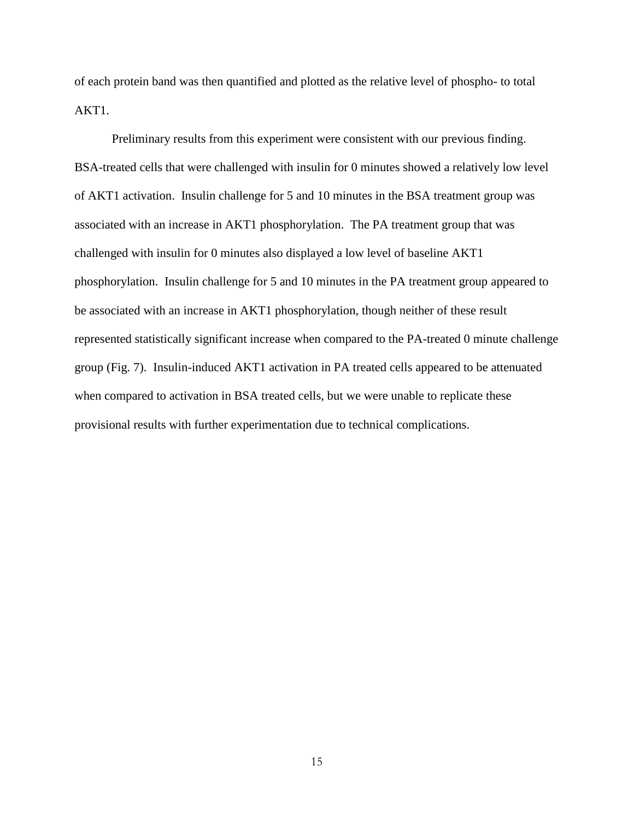of each protein band was then quantified and plotted as the relative level of phospho- to total AKT1.

Preliminary results from this experiment were consistent with our previous finding. BSA-treated cells that were challenged with insulin for 0 minutes showed a relatively low level of AKT1 activation. Insulin challenge for 5 and 10 minutes in the BSA treatment group was associated with an increase in AKT1 phosphorylation. The PA treatment group that was challenged with insulin for 0 minutes also displayed a low level of baseline AKT1 phosphorylation. Insulin challenge for 5 and 10 minutes in the PA treatment group appeared to be associated with an increase in AKT1 phosphorylation, though neither of these result represented statistically significant increase when compared to the PA-treated 0 minute challenge group (Fig. 7). Insulin-induced AKT1 activation in PA treated cells appeared to be attenuated when compared to activation in BSA treated cells, but we were unable to replicate these provisional results with further experimentation due to technical complications.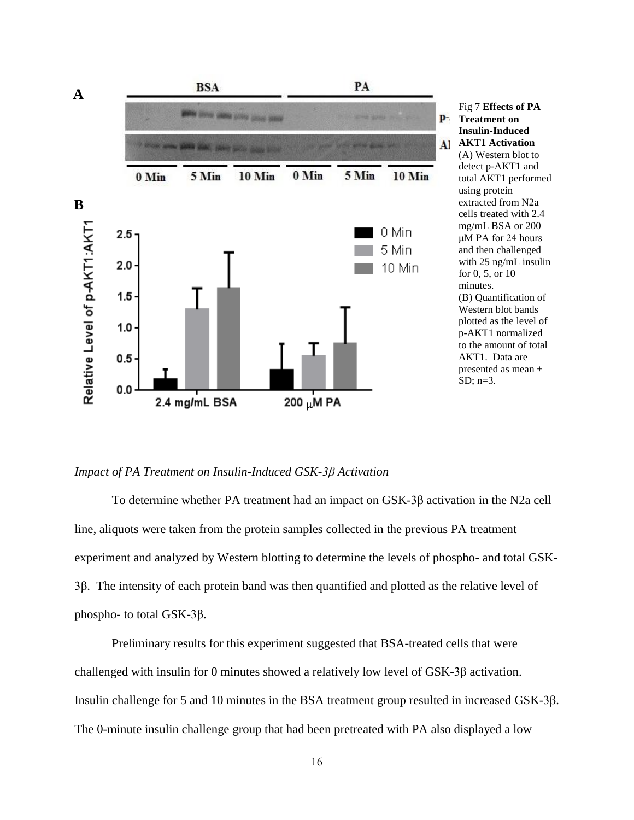

*Impact of PA Treatment on Insulin-Induced GSK-3β Activation*

To determine whether PA treatment had an impact on GSK-3β activation in the N2a cell line, aliquots were taken from the protein samples collected in the previous PA treatment experiment and analyzed by Western blotting to determine the levels of phospho- and total GSK-3β. The intensity of each protein band was then quantified and plotted as the relative level of phospho- to total GSK-3β.

Preliminary results for this experiment suggested that BSA-treated cells that were challenged with insulin for 0 minutes showed a relatively low level of GSK-3β activation. Insulin challenge for 5 and 10 minutes in the BSA treatment group resulted in increased GSK-3β. The 0-minute insulin challenge group that had been pretreated with PA also displayed a low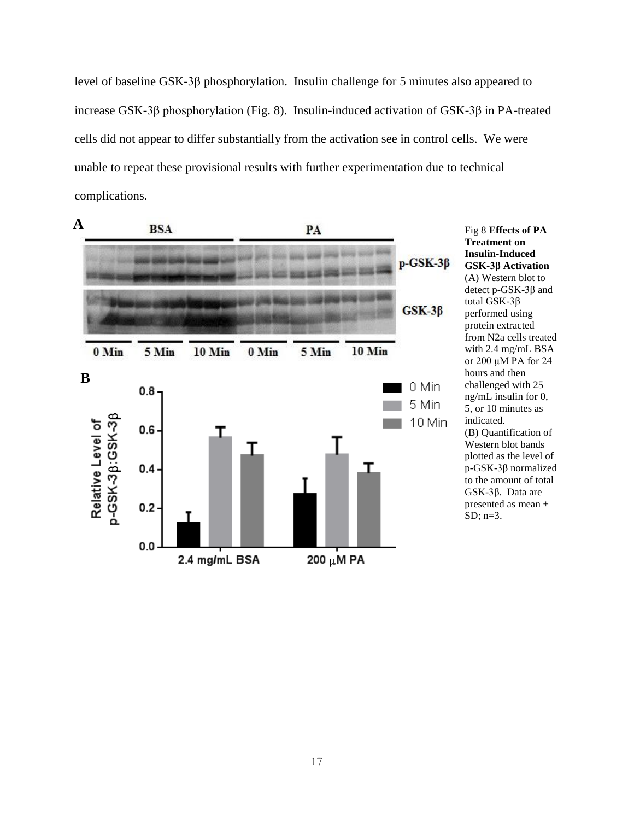level of baseline GSK-3β phosphorylation. Insulin challenge for 5 minutes also appeared to increase GSK-3β phosphorylation (Fig. 8). Insulin-induced activation of GSK-3β in PA-treated cells did not appear to differ substantially from the activation see in control cells. We were unable to repeat these provisional results with further experimentation due to technical complications.



**Treatment on Insulin-Induced GSK-3β Activation**  (A) Western blot to detect p-GSK-3β and total GSK-3β performed using protein extracted from N2a cells treated with 2.4 mg/mL BSA or 200 μM PA for 24 hours and then challenged with 25 ng/mL insulin for 0, 5, or 10 minutes as indicated. (B) Quantification of Western blot bands plotted as the level of p-GSK-3β normalized to the amount of total GSK-3β. Data are presented as mean ± SD; n=3.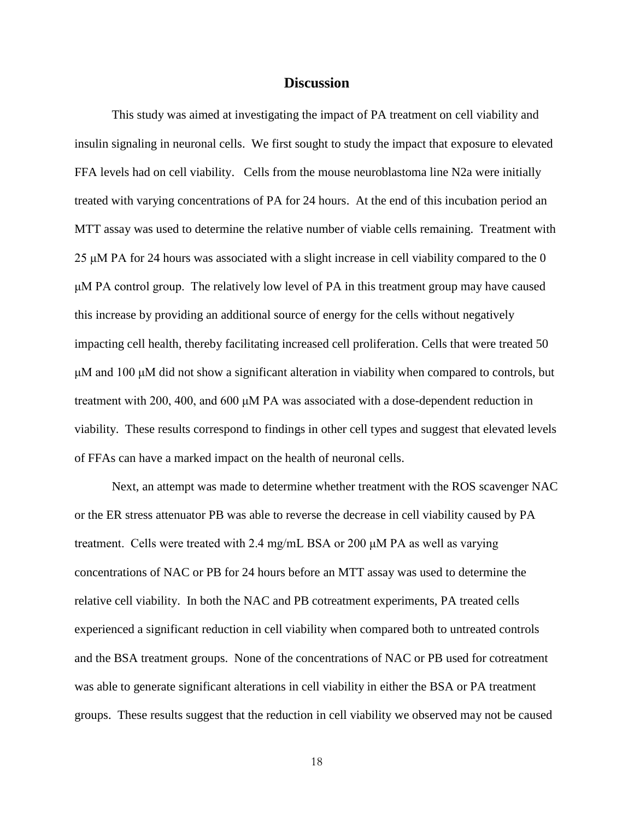#### **Discussion**

This study was aimed at investigating the impact of PA treatment on cell viability and insulin signaling in neuronal cells. We first sought to study the impact that exposure to elevated FFA levels had on cell viability. Cells from the mouse neuroblastoma line N2a were initially treated with varying concentrations of PA for 24 hours. At the end of this incubation period an MTT assay was used to determine the relative number of viable cells remaining. Treatment with 25 μM PA for 24 hours was associated with a slight increase in cell viability compared to the 0 μM PA control group. The relatively low level of PA in this treatment group may have caused this increase by providing an additional source of energy for the cells without negatively impacting cell health, thereby facilitating increased cell proliferation. Cells that were treated 50  $\mu$ M and 100  $\mu$ M did not show a significant alteration in viability when compared to controls, but treatment with 200, 400, and 600 μM PA was associated with a dose-dependent reduction in viability. These results correspond to findings in other cell types and suggest that elevated levels of FFAs can have a marked impact on the health of neuronal cells.

Next, an attempt was made to determine whether treatment with the ROS scavenger NAC or the ER stress attenuator PB was able to reverse the decrease in cell viability caused by PA treatment. Cells were treated with 2.4 mg/mL BSA or 200 μM PA as well as varying concentrations of NAC or PB for 24 hours before an MTT assay was used to determine the relative cell viability. In both the NAC and PB cotreatment experiments, PA treated cells experienced a significant reduction in cell viability when compared both to untreated controls and the BSA treatment groups. None of the concentrations of NAC or PB used for cotreatment was able to generate significant alterations in cell viability in either the BSA or PA treatment groups. These results suggest that the reduction in cell viability we observed may not be caused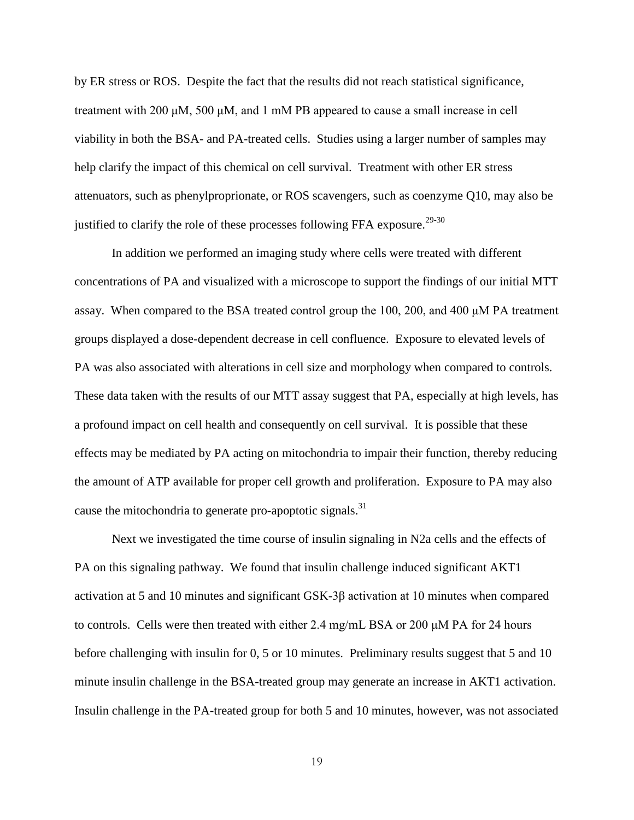by ER stress or ROS. Despite the fact that the results did not reach statistical significance, treatment with 200 μM, 500 μM, and 1 mM PB appeared to cause a small increase in cell viability in both the BSA- and PA-treated cells. Studies using a larger number of samples may help clarify the impact of this chemical on cell survival. Treatment with other ER stress attenuators, such as phenylproprionate, or ROS scavengers, such as coenzyme Q10, may also be justified to clarify the role of these processes following FFA exposure.<sup>29-30</sup>

In addition we performed an imaging study where cells were treated with different concentrations of PA and visualized with a microscope to support the findings of our initial MTT assay. When compared to the BSA treated control group the 100, 200, and 400 μM PA treatment groups displayed a dose-dependent decrease in cell confluence. Exposure to elevated levels of PA was also associated with alterations in cell size and morphology when compared to controls. These data taken with the results of our MTT assay suggest that PA, especially at high levels, has a profound impact on cell health and consequently on cell survival. It is possible that these effects may be mediated by PA acting on mitochondria to impair their function, thereby reducing the amount of ATP available for proper cell growth and proliferation. Exposure to PA may also cause the mitochondria to generate pro-apoptotic signals.<sup>31</sup>

Next we investigated the time course of insulin signaling in N2a cells and the effects of PA on this signaling pathway. We found that insulin challenge induced significant AKT1 activation at 5 and 10 minutes and significant GSK-3β activation at 10 minutes when compared to controls. Cells were then treated with either 2.4 mg/mL BSA or 200 μM PA for 24 hours before challenging with insulin for 0, 5 or 10 minutes. Preliminary results suggest that 5 and 10 minute insulin challenge in the BSA-treated group may generate an increase in AKT1 activation. Insulin challenge in the PA-treated group for both 5 and 10 minutes, however, was not associated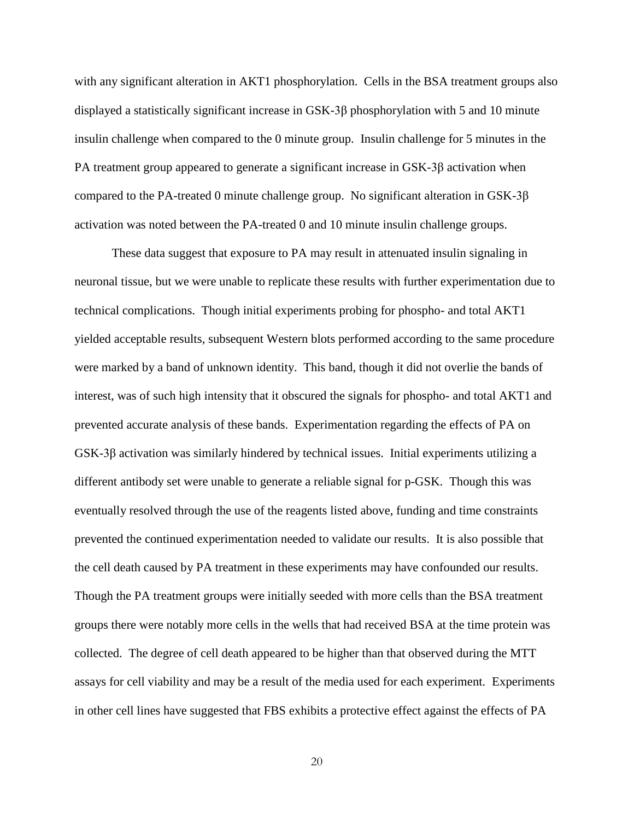with any significant alteration in AKT1 phosphorylation. Cells in the BSA treatment groups also displayed a statistically significant increase in GSK-3β phosphorylation with 5 and 10 minute insulin challenge when compared to the 0 minute group. Insulin challenge for 5 minutes in the PA treatment group appeared to generate a significant increase in GSK-3β activation when compared to the PA-treated 0 minute challenge group. No significant alteration in  $GSK-3\beta$ activation was noted between the PA-treated 0 and 10 minute insulin challenge groups.

These data suggest that exposure to PA may result in attenuated insulin signaling in neuronal tissue, but we were unable to replicate these results with further experimentation due to technical complications. Though initial experiments probing for phospho- and total AKT1 yielded acceptable results, subsequent Western blots performed according to the same procedure were marked by a band of unknown identity. This band, though it did not overlie the bands of interest, was of such high intensity that it obscured the signals for phospho- and total AKT1 and prevented accurate analysis of these bands. Experimentation regarding the effects of PA on GSK-3β activation was similarly hindered by technical issues. Initial experiments utilizing a different antibody set were unable to generate a reliable signal for p-GSK. Though this was eventually resolved through the use of the reagents listed above, funding and time constraints prevented the continued experimentation needed to validate our results. It is also possible that the cell death caused by PA treatment in these experiments may have confounded our results. Though the PA treatment groups were initially seeded with more cells than the BSA treatment groups there were notably more cells in the wells that had received BSA at the time protein was collected. The degree of cell death appeared to be higher than that observed during the MTT assays for cell viability and may be a result of the media used for each experiment. Experiments in other cell lines have suggested that FBS exhibits a protective effect against the effects of PA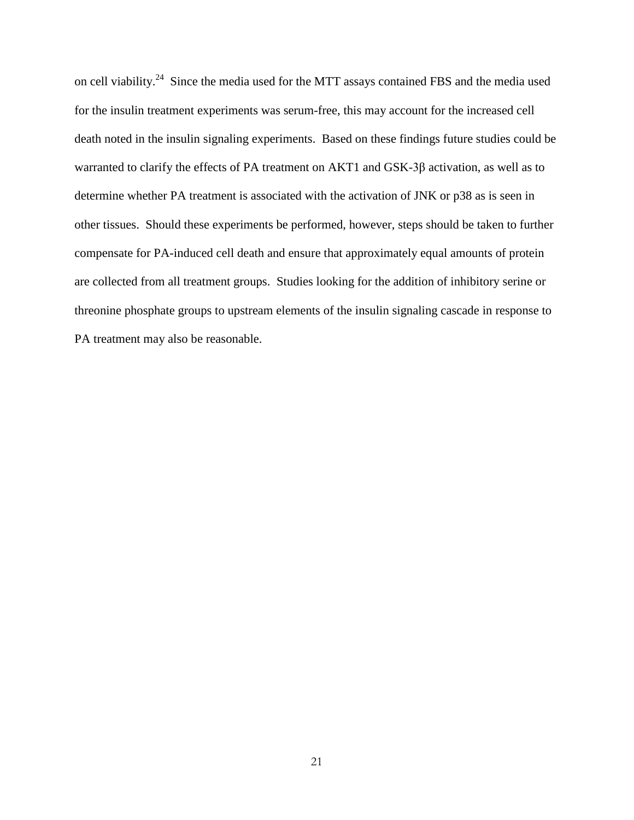on cell viability.<sup>24</sup> Since the media used for the MTT assays contained FBS and the media used for the insulin treatment experiments was serum-free, this may account for the increased cell death noted in the insulin signaling experiments. Based on these findings future studies could be warranted to clarify the effects of PA treatment on AKT1 and GSK-3β activation, as well as to determine whether PA treatment is associated with the activation of JNK or p38 as is seen in other tissues. Should these experiments be performed, however, steps should be taken to further compensate for PA-induced cell death and ensure that approximately equal amounts of protein are collected from all treatment groups. Studies looking for the addition of inhibitory serine or threonine phosphate groups to upstream elements of the insulin signaling cascade in response to PA treatment may also be reasonable.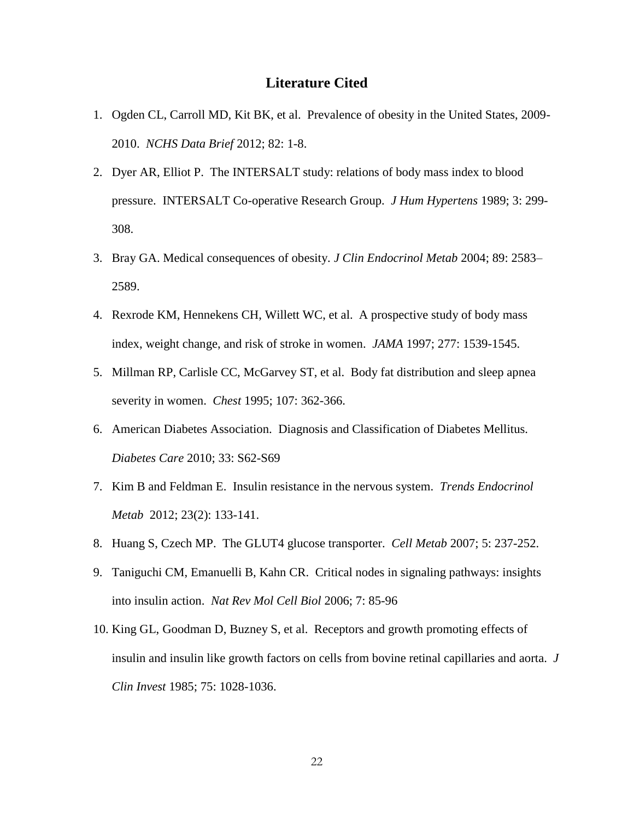#### **Literature Cited**

- 1. Ogden CL, Carroll MD, Kit BK, et al. Prevalence of obesity in the United States, 2009- 2010. *NCHS Data Brief* 2012; 82: 1-8.
- 2. Dyer AR, Elliot P. The INTERSALT study: relations of body mass index to blood pressure. INTERSALT Co-operative Research Group. *J Hum Hypertens* 1989; 3: 299- 308.
- 3. Bray GA. Medical consequences of obesity. *J Clin Endocrinol Metab* 2004; 89: 2583– 2589.
- 4. Rexrode KM, Hennekens CH, Willett WC, et al. A prospective study of body mass index, weight change, and risk of stroke in women. *JAMA* 1997; 277: 1539-1545.
- 5. Millman RP, Carlisle CC, McGarvey ST, et al. Body fat distribution and sleep apnea severity in women. *Chest* 1995; 107: 362-366.
- 6. American Diabetes Association. Diagnosis and Classification of Diabetes Mellitus. *Diabetes Care* 2010; 33: S62-S69
- 7. Kim B and Feldman E. Insulin resistance in the nervous system. *Trends Endocrinol Metab* 2012; 23(2): 133-141.
- 8. Huang S, Czech MP. The GLUT4 glucose transporter. *Cell Metab* 2007; 5: 237-252.
- 9. Taniguchi CM, Emanuelli B, Kahn CR. Critical nodes in signaling pathways: insights into insulin action. *Nat Rev Mol Cell Biol* 2006; 7: 85-96
- 10. King GL, Goodman D, Buzney S, et al. Receptors and growth promoting effects of insulin and insulin like growth factors on cells from bovine retinal capillaries and aorta. *J Clin Invest* 1985; 75: 1028-1036.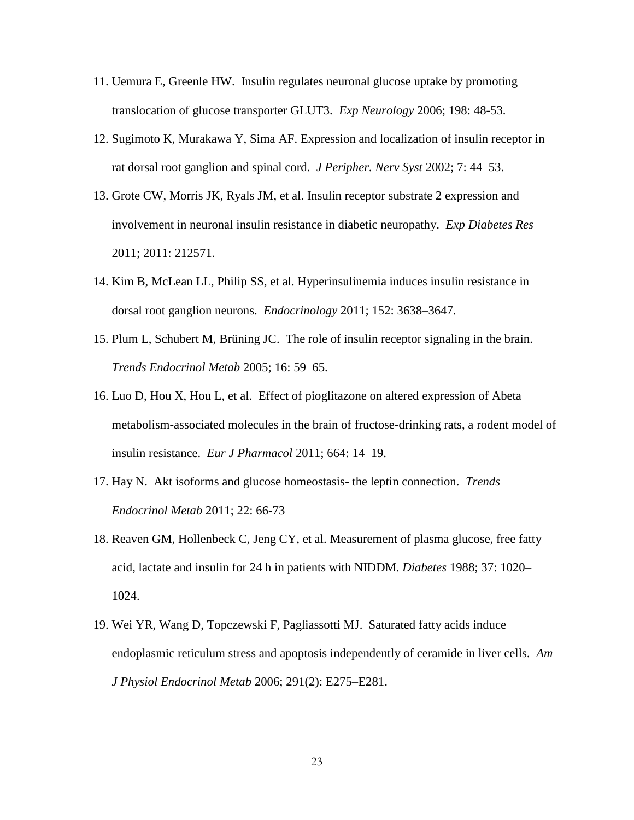- 11. Uemura E, Greenle HW. Insulin regulates neuronal glucose uptake by promoting translocation of glucose transporter GLUT3. *Exp Neurology* 2006; 198: 48-53.
- 12. Sugimoto K, Murakawa Y, Sima AF. Expression and localization of insulin receptor in rat dorsal root ganglion and spinal cord. *J Peripher. Nerv Syst* 2002; 7: 44–53.
- 13. Grote CW, Morris JK, Ryals JM, et al. Insulin receptor substrate 2 expression and involvement in neuronal insulin resistance in diabetic neuropathy. *Exp Diabetes Res* 2011; 2011: 212571.
- 14. Kim B, McLean LL, Philip SS, et al. Hyperinsulinemia induces insulin resistance in dorsal root ganglion neurons. *Endocrinology* 2011; 152: 3638–3647.
- 15. Plum L, Schubert M, Brüning JC. The role of insulin receptor signaling in the brain. *Trends Endocrinol Metab* 2005; 16: 59–65.
- 16. Luo D, Hou X, Hou L, et al. Effect of pioglitazone on altered expression of Abeta metabolism-associated molecules in the brain of fructose-drinking rats, a rodent model of insulin resistance. *Eur J Pharmacol* 2011; 664: 14–19.
- 17. Hay N. Akt isoforms and glucose homeostasis- the leptin connection. *Trends Endocrinol Metab* 2011; 22: 66-73
- 18. Reaven GM, Hollenbeck C, Jeng CY, et al. Measurement of plasma glucose, free fatty acid, lactate and insulin for 24 h in patients with NIDDM. *Diabetes* 1988; 37: 1020– 1024.
- 19. Wei YR, Wang D, Topczewski F, Pagliassotti MJ. Saturated fatty acids induce endoplasmic reticulum stress and apoptosis independently of ceramide in liver cells. *Am J Physiol Endocrinol Metab* 2006; 291(2): E275–E281.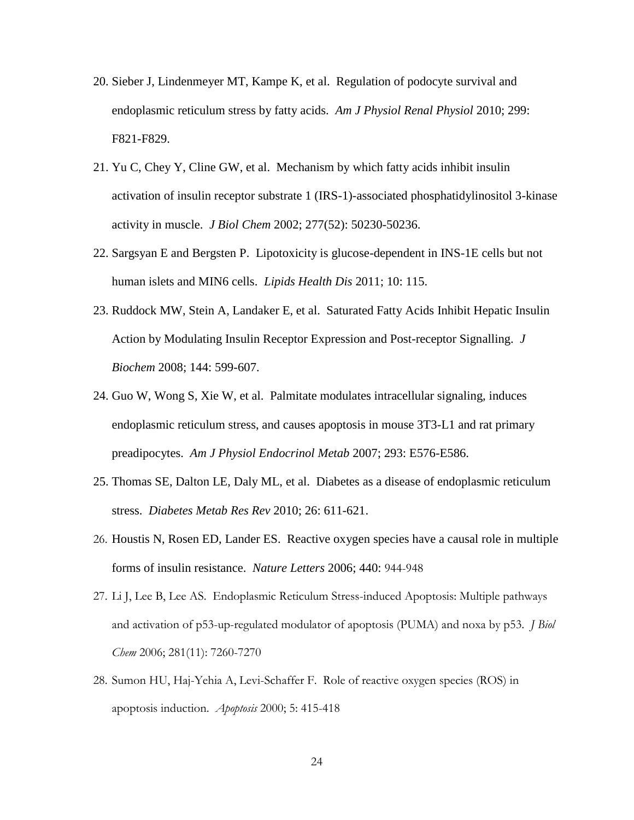- 20. Sieber J, Lindenmeyer MT, Kampe K, et al. Regulation of podocyte survival and endoplasmic reticulum stress by fatty acids. *Am J Physiol Renal Physiol* 2010; 299: F821-F829.
- 21. Yu C, Chey Y, Cline GW, et al. Mechanism by which fatty acids inhibit insulin activation of insulin receptor substrate 1 (IRS-1)-associated phosphatidylinositol 3-kinase activity in muscle. *J Biol Chem* 2002; 277(52): 50230-50236.
- 22. Sargsyan E and Bergsten P. Lipotoxicity is glucose-dependent in INS-1E cells but not human islets and MIN6 cells. *Lipids Health Dis* 2011; 10: 115.
- 23. Ruddock MW, Stein A, Landaker E, et al. Saturated Fatty Acids Inhibit Hepatic Insulin Action by Modulating Insulin Receptor Expression and Post-receptor Signalling. *J Biochem* 2008; 144: 599-607.
- 24. Guo W, Wong S, Xie W, et al. Palmitate modulates intracellular signaling, induces endoplasmic reticulum stress, and causes apoptosis in mouse 3T3-L1 and rat primary preadipocytes. *Am J Physiol Endocrinol Metab* 2007; 293: E576-E586.
- 25. Thomas SE, Dalton LE, Daly ML, et al. Diabetes as a disease of endoplasmic reticulum stress. *Diabetes Metab Res Rev* 2010; 26: 611-621.
- 26. Houstis N, Rosen ED, Lander ES. Reactive oxygen species have a causal role in multiple forms of insulin resistance. *Nature Letters* 2006; 440: 944-948
- 27. Li J, Lee B, Lee AS. Endoplasmic Reticulum Stress-induced Apoptosis: Multiple pathways and activation of p53-up-regulated modulator of apoptosis (PUMA) and noxa by p53. *J Biol Chem* 2006; 281(11): 7260-7270
- 28. Sumon HU, Haj-Yehia A, Levi-Schaffer F. Role of reactive oxygen species (ROS) in apoptosis induction. *Apoptosis* 2000; 5: 415-418